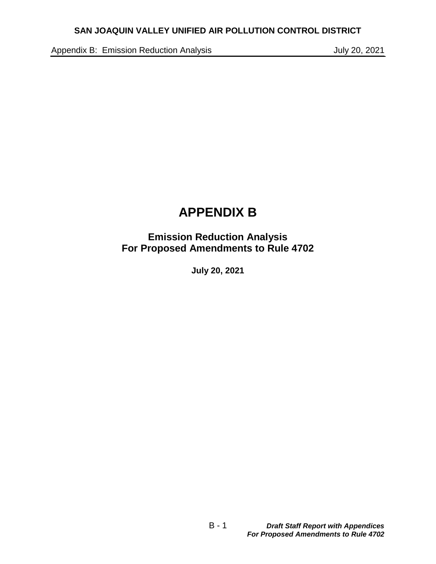# **APPENDIX B**

**Emission Reduction Analysis For Proposed Amendments to Rule 4702**

**July 20, 2021**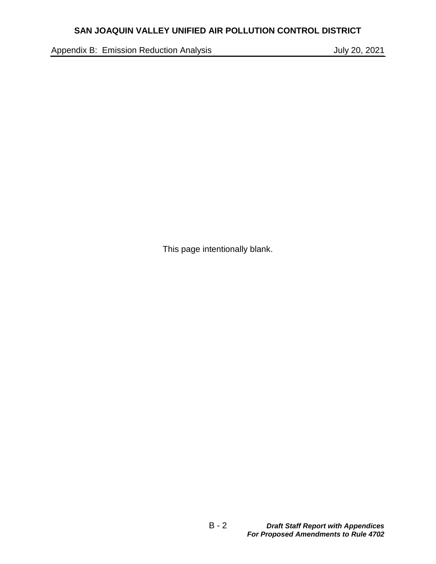Appendix B: Emission Reduction Analysis **Accord 2014** July 20, 2021

This page intentionally blank.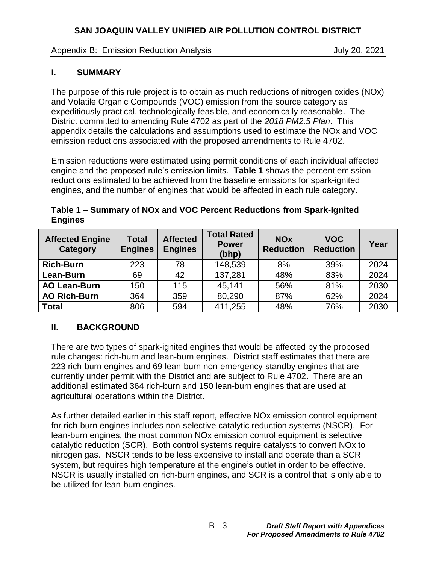#### **I. SUMMARY**

The purpose of this rule project is to obtain as much reductions of nitrogen oxides (NOx) and Volatile Organic Compounds (VOC) emission from the source category as expeditiously practical, technologically feasible, and economically reasonable. The District committed to amending Rule 4702 as part of the *2018 PM2.5 Plan*. This appendix details the calculations and assumptions used to estimate the NOx and VOC emission reductions associated with the proposed amendments to Rule 4702.

Emission reductions were estimated using permit conditions of each individual affected engine and the proposed rule's emission limits. **[Table 1](#page-2-0)** shows the percent emission reductions estimated to be achieved from the baseline emissions for spark-ignited engines, and the number of engines that would be affected in each rule category.

<span id="page-2-0"></span>**Table 1 – Summary of NOx and VOC Percent Reductions from Spark-Ignited Engines**

| <b>Affected Engine</b><br>Category | <b>Total</b><br><b>Engines</b> | <b>Affected</b><br><b>Engines</b> | <b>Total Rated</b><br><b>Power</b><br>(bhp) | <b>NOx</b><br><b>Reduction</b> | <b>VOC</b><br><b>Reduction</b> | Year |
|------------------------------------|--------------------------------|-----------------------------------|---------------------------------------------|--------------------------------|--------------------------------|------|
| <b>Rich-Burn</b>                   | 223                            | 78                                | 148,539                                     | 8%                             | 39%                            | 2024 |
| Lean-Burn                          | 69                             | 42                                | 137,281                                     | 48%                            | 83%                            | 2024 |
| <b>AO Lean-Burn</b>                | 150                            | 115                               | 45,141                                      | 56%                            | 81%                            | 2030 |
| <b>AO Rich-Burn</b>                | 364                            | 359                               | 80,290                                      | 87%                            | 62%                            | 2024 |
| <b>Total</b>                       | 806                            | 594                               | 411,255                                     | 48%                            | 76%                            | 2030 |

# **II. BACKGROUND**

There are two types of spark-ignited engines that would be affected by the proposed rule changes: rich-burn and lean-burn engines. District staff estimates that there are 223 rich-burn engines and 69 lean-burn non-emergency-standby engines that are currently under permit with the District and are subject to Rule 4702. There are an additional estimated 364 rich-burn and 150 lean-burn engines that are used at agricultural operations within the District.

As further detailed earlier in this staff report, effective NOx emission control equipment for rich-burn engines includes non-selective catalytic reduction systems (NSCR). For lean-burn engines, the most common NOx emission control equipment is selective catalytic reduction (SCR). Both control systems require catalysts to convert NOx to nitrogen gas. NSCR tends to be less expensive to install and operate than a SCR system, but requires high temperature at the engine's outlet in order to be effective. NSCR is usually installed on rich-burn engines, and SCR is a control that is only able to be utilized for lean-burn engines.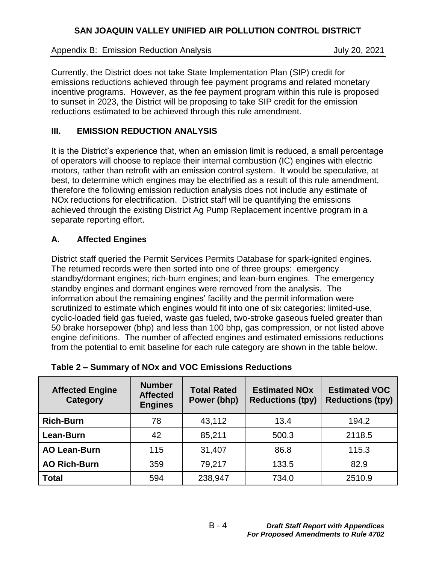Appendix B: Emission Reduction Analysis **All Accords** July 20, 2021

Currently, the District does not take State Implementation Plan (SIP) credit for emissions reductions achieved through fee payment programs and related monetary incentive programs. However, as the fee payment program within this rule is proposed to sunset in 2023, the District will be proposing to take SIP credit for the emission reductions estimated to be achieved through this rule amendment.

#### **III. EMISSION REDUCTION ANALYSIS**

It is the District's experience that, when an emission limit is reduced, a small percentage of operators will choose to replace their internal combustion (IC) engines with electric motors, rather than retrofit with an emission control system. It would be speculative, at best, to determine which engines may be electrified as a result of this rule amendment, therefore the following emission reduction analysis does not include any estimate of NOx reductions for electrification. District staff will be quantifying the emissions achieved through the existing District Ag Pump Replacement incentive program in a separate reporting effort.

## **A. Affected Engines**

District staff queried the Permit Services Permits Database for spark-ignited engines. The returned records were then sorted into one of three groups: emergency standby/dormant engines; rich-burn engines; and lean-burn engines. The emergency standby engines and dormant engines were removed from the analysis. The information about the remaining engines' facility and the permit information were scrutinized to estimate which engines would fit into one of six categories: limited-use, cyclic-loaded field gas fueled, waste gas fueled, two-stroke gaseous fueled greater than 50 brake horsepower (bhp) and less than 100 bhp, gas compression, or not listed above engine definitions. The number of affected engines and estimated emissions reductions from the potential to emit baseline for each rule category are shown in the table below.

| <b>Affected Engine</b><br>Category | <b>Number</b><br><b>Affected</b><br><b>Engines</b> | <b>Total Rated</b><br>Power (bhp) | <b>Estimated NOx</b><br><b>Reductions (tpy)</b> | <b>Estimated VOC</b><br><b>Reductions (tpy)</b> |  |
|------------------------------------|----------------------------------------------------|-----------------------------------|-------------------------------------------------|-------------------------------------------------|--|
| <b>Rich-Burn</b>                   | 78                                                 | 43,112                            | 13.4                                            | 194.2                                           |  |
| Lean-Burn                          | 42                                                 | 85,211                            | 500.3                                           | 2118.5                                          |  |
| <b>AO Lean-Burn</b>                | 115                                                | 31,407                            | 86.8                                            | 115.3                                           |  |
| <b>AO Rich-Burn</b>                | 359                                                | 79,217                            | 133.5                                           | 82.9                                            |  |
| <b>Total</b>                       | 594                                                | 238,947                           | 734.0                                           | 2510.9                                          |  |

#### **Table 2 – Summary of NOx and VOC Emissions Reductions**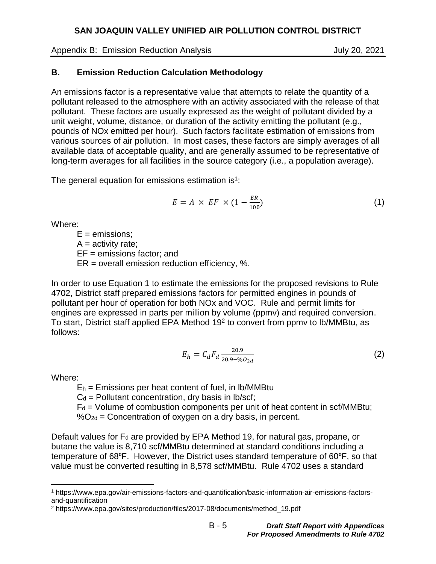# **B. Emission Reduction Calculation Methodology**

An emissions factor is a representative value that attempts to relate the quantity of a pollutant released to the atmosphere with an activity associated with the release of that pollutant. These factors are usually expressed as the weight of pollutant divided by a unit weight, volume, distance, or duration of the activity emitting the pollutant (e.g., pounds of NOx emitted per hour). Such factors facilitate estimation of emissions from various sources of air pollution. In most cases, these factors are simply averages of all available data of acceptable quality, and are generally assumed to be representative of long-term averages for all facilities in the source category (i.e., a population average).

The general equation for emissions estimation is<sup>1</sup>:

$$
E = A \times EF \times (1 - \frac{ER}{100}) \tag{1}
$$

Where:

 $E =$ emissions;  $A =$  activity rate; EF = emissions factor; and ER = overall emission reduction efficiency, %.

In order to use Equation 1 to estimate the emissions for the proposed revisions to Rule 4702, District staff prepared emissions factors for permitted engines in pounds of pollutant per hour of operation for both NOx and VOC. Rule and permit limits for engines are expressed in parts per million by volume (ppmv) and required conversion. To start, District staff applied EPA Method 19<sup>2</sup> to convert from ppmv to lb/MMBtu, as follows:

$$
E_h = C_d F_d \frac{^{20.9}}{^{20.9 - \%0} 2d}
$$
 (2)

Where:

 $E_h$  = Emissions per heat content of fuel, in lb/MMBtu

 $C_d$  = Pollutant concentration, dry basis in lb/scf;

 $F_d$  = Volume of combustion components per unit of heat content in scf/MMBtu;  $%O_{2d}$  = Concentration of oxygen on a dry basis, in percent.

Default values for  $F_d$  are provided by EPA Method 19, for natural gas, propane, or butane the value is 8,710 scf/MMBtu determined at standard conditions including a temperature of 68<sup>o</sup>F. However, the District uses standard temperature of 60<sup>o</sup>F, so that value must be converted resulting in 8,578 scf/MMBtu. Rule 4702 uses a standard

 $\overline{a}$ <sup>1</sup> https://www.epa.gov/air-emissions-factors-and-quantification/basic-information-air-emissions-factorsand-quantification

<sup>2</sup> https://www.epa.gov/sites/production/files/2017-08/documents/method\_19.pdf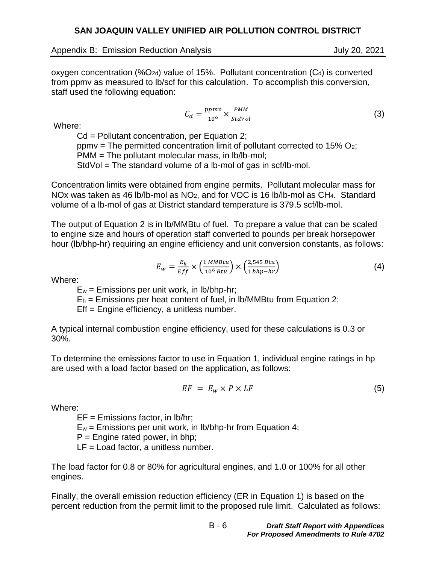oxygen concentration (% $O_{2d}$ ) value of 15%. Pollutant concentration ( $C_d$ ) is converted from ppmv as measured to lb/scf for this calculation. To accomplish this conversion, staff used the following equation:

Where:

$$
C_d = \frac{ppmv}{10^6} \times \frac{PMM}{StdVol}
$$
 (3)

 $Cd =$  Pollutant concentration, per Equation 2; ppmy = The permitted concentration limit of pollutant corrected to 15%  $O_2$ ; PMM = The pollutant molecular mass, in lb/lb-mol; StdVol = The standard volume of a lb-mol of gas in scf/lb-mol.

Concentration limits were obtained from engine permits. Pollutant molecular mass for NOx was taken as 46 lb/lb-mol as NO2, and for VOC is 16 lb/lb-mol as CH4. Standard volume of a lb-mol of gas at District standard temperature is 379.5 scf/lb-mol.

The output of Equation 2 is in lb/MMBtu of fuel. To prepare a value that can be scaled to engine size and hours of operation staff converted to pounds per break horsepower hour (lb/bhp-hr) requiring an engine efficiency and unit conversion constants, as follows:

$$
E_w = \frac{E_h}{Eff} \times \left(\frac{1 \text{ MMBtu}}{10^6 \text{ Btu}}\right) \times \left(\frac{2.545 \text{ Btu}}{1 \text{ bhp} - hr}\right) \tag{4}
$$

Where:

 $E_w =$  Emissions per unit work, in lb/bhp-hr;

 $E_h$  = Emissions per heat content of fuel, in Ib/MMBtu from Equation 2;

Eff = Engine efficiency, a unitless number.

A typical internal combustion engine efficiency, used for these calculations is 0.3 or 30%.

To determine the emissions factor to use in Equation 1, individual engine ratings in hp are used with a load factor based on the application, as follows:

$$
EF = E_w \times P \times LF \tag{5}
$$

Where:

 $EF = E$ missions factor, in  $lb/hr$ ;

 $E_w =$  Emissions per unit work, in lb/bhp-hr from Equation 4;

 $P =$  Engine rated power, in bhp;

LF = Load factor, a unitless number.

The load factor for 0.8 or 80% for agricultural engines, and 1.0 or 100% for all other engines.

Finally, the overall emission reduction efficiency (ER in Equation 1) is based on the percent reduction from the permit limit to the proposed rule limit. Calculated as follows: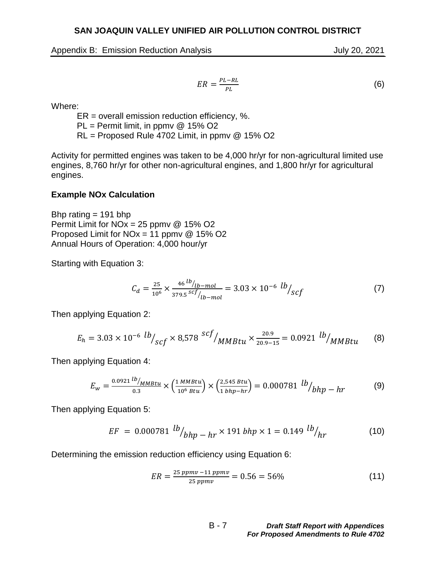$$
ER = \frac{PL - RL}{PL} \tag{6}
$$

Where:

ER = overall emission reduction efficiency, %.

 $PL = Permit limit$ , in ppmv @ 15% O2

 $RL =$  Proposed Rule 4702 Limit, in ppmv  $@$  15% O2

Activity for permitted engines was taken to be 4,000 hr/yr for non-agricultural limited use engines, 8,760 hr/yr for other non-agricultural engines, and 1,800 hr/yr for agricultural engines.

#### **Example NOx Calculation**

Bhp rating  $= 191$  bhp Permit Limit for  $NOx = 25$  ppmv @ 15% O2 Proposed Limit for  $NOx = 11$  ppmv @ 15% O2 Annual Hours of Operation: 4,000 hour/yr

Starting with Equation 3:

$$
C_d = \frac{25}{10^6} \times \frac{46 \, lb/_{lb-mol}}{379.5 \, scf/_{lb-mol}} = 3.03 \times 10^{-6} \, lb/_{Scf} \tag{7}
$$

Then applying Equation 2:

$$
E_h = 3.03 \times 10^{-6} \frac{lb}{scf} \times 8.578 \frac{scf}{MMBtu} \times \frac{20.9}{20.9 - 15} = 0.0921 \frac{lb}{MMBtu}
$$
 (8)

Then applying Equation 4:

$$
E_w = \frac{0.0921 \, lb_{\text{/MMBtu}}}{0.3} \times \left(\frac{1 \, MMBtu}{10^6 \, Btu}\right) \times \left(\frac{2.545 \, Btu}{1 \, bhp - hr}\right) = 0.000781 \, lb_{\text{/}bhp - hr} \tag{9}
$$

Then applying Equation 5:

$$
EF = 0.000781 \frac{lb}{bhp - hr} \times 191 \, bhp \times 1 = 0.149 \frac{lb}{hr} \tag{10}
$$

Determining the emission reduction efficiency using Equation 6:

$$
ER = \frac{25\,ppmv - 11\,ppmv}{25\,ppmv} = 0.56 = 56\% \tag{11}
$$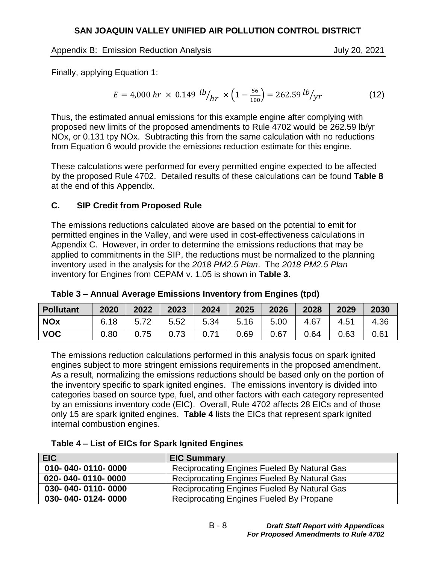Finally, applying Equation 1:

$$
E = 4,000 \ hr \times 0.149 \ \frac{lb}{hr} \times \left(1 - \frac{56}{100}\right) = 262.59 \ \frac{lb}{yr} \tag{12}
$$

Thus, the estimated annual emissions for this example engine after complying with proposed new limits of the proposed amendments to Rule 4702 would be 262.59 lb/yr NOx, or 0.131 tpy NOx. Subtracting this from the same calculation with no reductions from Equation 6 would provide the emissions reduction estimate for this engine.

These calculations were performed for every permitted engine expected to be affected by the proposed Rule 4702. Detailed results of these calculations can be found **[Table](#page-9-0) 8** at the end of this Appendix.

## **C. SIP Credit from Proposed Rule**

The emissions reductions calculated above are based on the potential to emit for permitted engines in the Valley, and were used in cost-effectiveness calculations in Appendix C. However, in order to determine the emissions reductions that may be applied to commitments in the SIP, the reductions must be normalized to the planning inventory used in the analysis for the *2018 PM2.5 Plan*. The *2018 PM2.5 Plan* inventory for Engines from CEPAM v. 1.05 is shown in **[Table](#page-7-0) 3**.

| <b>Pollutant</b> | 2020 | 2022 | 2023 | 2024 | 2025 | 2026 | 2028 | 2029 | 2030 |
|------------------|------|------|------|------|------|------|------|------|------|
| <b>NOx</b>       | 6.18 | 5.72 | 5.52 | 5.34 | 5.16 | 5.00 | 4.67 | 4.51 | 4.36 |
| <b>VOC</b>       | 0.80 | 0.75 | 0.73 | 0.71 | 0.69 | 0.67 | 0.64 | 0.63 | 0.61 |

<span id="page-7-0"></span>**Table 3 – Annual Average Emissions Inventory from Engines (tpd)**

The emissions reduction calculations performed in this analysis focus on spark ignited engines subject to more stringent emissions requirements in the proposed amendment. As a result, normalizing the emissions reductions should be based only on the portion of the inventory specific to spark ignited engines. The emissions inventory is divided into categories based on source type, fuel, and other factors with each category represented by an emissions inventory code (EIC). Overall, Rule 4702 affects 28 EICs and of those only 15 are spark ignited engines. **[Table](#page-7-1) 4** lists the EICs that represent spark ignited internal combustion engines.

<span id="page-7-1"></span>

| <b>EIC</b>        | <b>EIC Summary</b>                          |
|-------------------|---------------------------------------------|
| 010-040-0110-0000 | Reciprocating Engines Fueled By Natural Gas |
| 020-040-0110-0000 | Reciprocating Engines Fueled By Natural Gas |
| 030-040-0110-0000 | Reciprocating Engines Fueled By Natural Gas |
| 030-040-0124-0000 | Reciprocating Engines Fueled By Propane     |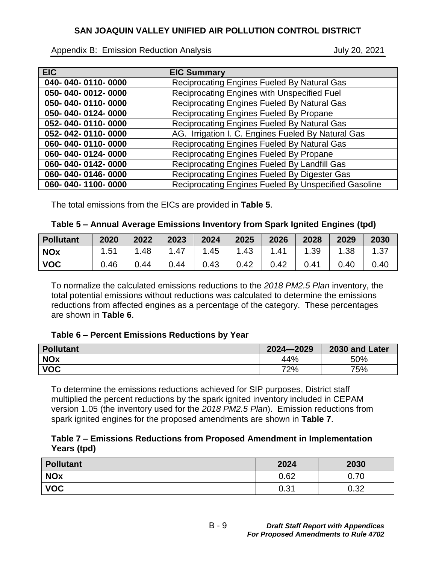#### Appendix B: Emission Reduction Analysis **All Accords** July 20, 2021

| <b>EIC</b>        | <b>EIC Summary</b>                                   |
|-------------------|------------------------------------------------------|
| 040-040-0110-0000 | Reciprocating Engines Fueled By Natural Gas          |
| 050-040-0012-0000 | Reciprocating Engines with Unspecified Fuel          |
| 050-040-0110-0000 | Reciprocating Engines Fueled By Natural Gas          |
| 050-040-0124-0000 | Reciprocating Engines Fueled By Propane              |
| 052-040-0110-0000 | Reciprocating Engines Fueled By Natural Gas          |
| 052-042-0110-0000 | AG. Irrigation I. C. Engines Fueled By Natural Gas   |
| 060-040-0110-0000 | Reciprocating Engines Fueled By Natural Gas          |
| 060-040-0124-0000 | Reciprocating Engines Fueled By Propane              |
| 060-040-0142-0000 | Reciprocating Engines Fueled By Landfill Gas         |
| 060-040-0146-0000 | Reciprocating Engines Fueled By Digester Gas         |
| 060-040-1100-0000 | Reciprocating Engines Fueled By Unspecified Gasoline |

The total emissions from the EICs are provided in **[Table](#page-8-0) 5**.

<span id="page-8-0"></span>

| Table 5 – Annual Average Emissions Inventory from Spark Ignited Engines (tpd) |  |  |  |
|-------------------------------------------------------------------------------|--|--|--|
|-------------------------------------------------------------------------------|--|--|--|

| <b>Pollutant</b> | 2020 | 2022 | 2023     | 2024 | 2025 | 2026 | 2028 | 2029 | 2030 |
|------------------|------|------|----------|------|------|------|------|------|------|
| <b>NOx</b>       | 51.، | .48  | .47<br>4 | .45  | .43  | .41  | 1.39 | 1.38 | 1.37 |
| <b>VOC</b>       | 0.46 | 0.44 | 0.44     | 0.43 | 0.42 | 0.42 | 0.41 | 0.40 | 0.40 |

To normalize the calculated emissions reductions to the *2018 PM2.5 Plan* inventory, the total potential emissions without reductions was calculated to determine the emissions reductions from affected engines as a percentage of the category. These percentages are shown in **[Table](#page-8-1) 6**.

#### <span id="page-8-1"></span>**Table 6 – Percent Emissions Reductions by Year**

| <b>Pollutant</b> | $-2029$<br>2024 | 2030 and Later |
|------------------|-----------------|----------------|
| <b>NOx</b>       | 44%             | 50%            |
| <b>VOC</b>       | 72%             | 75%            |

To determine the emissions reductions achieved for SIP purposes, District staff multiplied the percent reductions by the spark ignited inventory included in CEPAM version 1.05 (the inventory used for the *2018 PM2.5 Plan*). Emission reductions from spark ignited engines for the proposed amendments are shown in **[Table](#page-8-2) 7**.

#### <span id="page-8-2"></span>**Table 7 – Emissions Reductions from Proposed Amendment in Implementation Years (tpd)**

| Pollutant  | 2024 | 2030 |
|------------|------|------|
| <b>NOx</b> | 0.62 | 0.70 |
| <b>VOC</b> | 0.31 | 0.32 |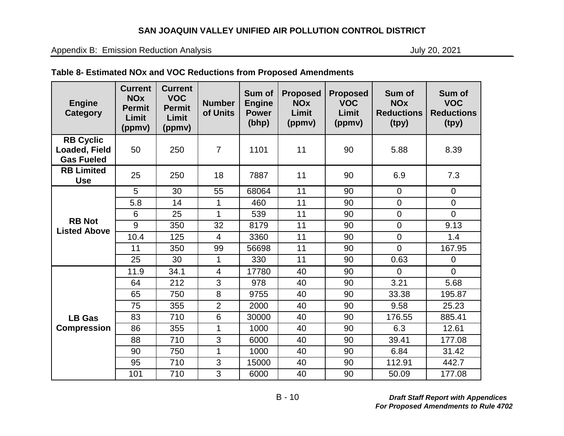#### Appendix B: Emission Reduction Analysis **Automakia and Accepts** 30, 2021

<span id="page-9-0"></span>**LB Gas Compression** 

#### **Engine Category Current NOx Permit Limit (ppmv) Current VOC Permit Limit (ppmv) Number of Units Sum of Engine Power (bhp) Proposed NOx Limit (ppmv) Proposed VOC Limit (ppmv) Sum of NOx Reductions (tpy) Sum of VOC Reductions (tpy) RB Cyclic Loaded, Field Gas Fueled**  50 | 250 | 7 | 1101 | 11 | 90 | 5.88 | 8.39 **RB Limited Limited** 25 250 18 7887 11 90 6.9 7.3 **RB Not Listed Above** 5 | 30 | 55 | 68064 | 11 | 90 | 0 | 0 5.8 | 14 | 1 | 460 | 11 | 90 | 0 | 0 6 | 25 | 1 | 539 | 11 | 90 | 0 | 0 9 | 350 | 32 | 8179 | 11 | 90 | 0 | 9.13 10.4 | 125 | 4 | 3360 | 11 | 90 | 0 | 1.4 11 350 99 56698 11 90 0 167.95 25 30 1 330 11 90 0.63 0 11.9 | 34.1 | 4 | 17780 | 40 | 90 | 0 | 0 64 | 212 | 3 | 978 | 40 | 90 | 3.21 | 5.68 65 | 750 | 8 | 9755 | 40 | 90 | 33.38 | 195.87

#### **Table 8- Estimated NOx and VOC Reductions from Proposed Amendments**

| 65  | 750 | 8 | 9755  | 40 | 90 | 33.38  | 195.87 |
|-----|-----|---|-------|----|----|--------|--------|
| 75  | 355 | 2 | 2000  | 40 | 90 | 9.58   | 25.23  |
| 83  | 710 | 6 | 30000 | 40 | 90 | 176.55 | 885.41 |
| 86  | 355 |   | 1000  | 40 | 90 | 6.3    | 12.61  |
| 88  | 710 | 3 | 6000  | 40 | 90 | 39.41  | 177.08 |
| 90  | 750 |   | 1000  | 40 | 90 | 6.84   | 31.42  |
| 95  | 710 | 3 | 15000 | 40 | 90 | 112.91 | 442.7  |
| 101 | 710 | 3 | 6000  | 40 | 90 | 50.09  | 177.08 |
|     |     |   |       |    |    |        |        |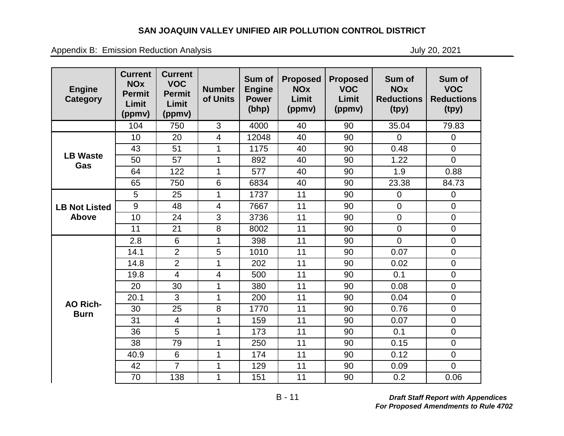Appendix B: Emission Reduction Analysis **According to the Control Control Control Control Control Control Control Control Control Control Control Control Control Control Control Control Control Control Control Control Cont** 

| <b>Engine</b><br><b>Category</b> | <b>Current</b><br><b>NO<sub>x</sub></b><br><b>Permit</b><br>Limit<br>(ppmv) | <b>Current</b><br><b>VOC</b><br><b>Permit</b><br>Limit<br>(ppmv) | <b>Number</b><br>of Units | Sum of<br><b>Engine</b><br><b>Power</b><br>(bhp) | <b>Proposed</b><br><b>NOx</b><br>Limit<br>(ppmv) | <b>Proposed</b><br><b>VOC</b><br>Limit<br>(ppmv) | Sum of<br><b>NOx</b><br><b>Reductions</b><br>(tpy) | Sum of<br><b>VOC</b><br><b>Reductions</b><br>(tpy) |
|----------------------------------|-----------------------------------------------------------------------------|------------------------------------------------------------------|---------------------------|--------------------------------------------------|--------------------------------------------------|--------------------------------------------------|----------------------------------------------------|----------------------------------------------------|
|                                  | 104                                                                         | 750                                                              | 3                         | 4000                                             | 40                                               | 90                                               | 35.04                                              | 79.83                                              |
|                                  | 10                                                                          | 20                                                               | $\overline{4}$            | 12048                                            | 40                                               | 90                                               | $\overline{0}$                                     | $\mathbf 0$                                        |
|                                  | 43                                                                          | 51                                                               | 1                         | 1175                                             | 40                                               | 90                                               | 0.48                                               | $\overline{0}$                                     |
| <b>LB Waste</b><br>Gas           | 50                                                                          | 57                                                               | 1                         | 892                                              | 40                                               | 90                                               | 1.22                                               | $\overline{0}$                                     |
|                                  | 64                                                                          | 122                                                              | 1                         | 577                                              | 40                                               | 90                                               | 1.9                                                | 0.88                                               |
|                                  | 65                                                                          | 750                                                              | 6                         | 6834                                             | 40                                               | 90                                               | 23.38                                              | 84.73                                              |
|                                  | 5                                                                           | 25                                                               | 1                         | 1737                                             | 11                                               | 90                                               | $\overline{0}$                                     | $\mathbf 0$                                        |
| <b>LB Not Listed</b>             | 9                                                                           | 48                                                               | 4                         | 7667                                             | 11                                               | 90                                               | $\mathbf 0$                                        | $\overline{0}$                                     |
| Above                            | 10                                                                          | 24                                                               | 3                         | 3736                                             | 11                                               | 90                                               | $\mathbf 0$                                        | $\overline{0}$                                     |
|                                  | 11                                                                          | 21                                                               | 8                         | 8002                                             | 11                                               | 90                                               | $\mathbf 0$                                        | $\mathbf 0$                                        |
|                                  | 2.8                                                                         | $6\phantom{1}6$                                                  | 1                         | 398                                              | 11                                               | 90                                               | $\overline{0}$                                     | $\overline{0}$                                     |
|                                  | 14.1                                                                        | $\overline{2}$                                                   | 5                         | 1010                                             | 11                                               | 90                                               | 0.07                                               | $\overline{0}$                                     |
|                                  | 14.8                                                                        | $\overline{2}$                                                   | 1                         | 202                                              | 11                                               | 90                                               | 0.02                                               | $\mathbf 0$                                        |
|                                  | 19.8                                                                        | 4                                                                | $\overline{4}$            | 500                                              | 11                                               | 90                                               | 0.1                                                | $\overline{0}$                                     |
|                                  | 20                                                                          | 30                                                               | 1                         | 380                                              | 11                                               | 90                                               | 0.08                                               | $\overline{0}$                                     |
|                                  | 20.1                                                                        | 3                                                                | 1                         | 200                                              | 11                                               | 90                                               | 0.04                                               | $\mathbf 0$                                        |
| <b>AO Rich-</b><br><b>Burn</b>   | 30                                                                          | 25                                                               | 8                         | 1770                                             | 11                                               | 90                                               | 0.76                                               | $\mathbf 0$                                        |
|                                  | 31                                                                          | $\overline{\mathbf{4}}$                                          | 1                         | 159                                              | 11                                               | 90                                               | 0.07                                               | $\overline{0}$                                     |
|                                  | 36                                                                          | 5                                                                | 1                         | 173                                              | 11                                               | 90                                               | 0.1                                                | $\overline{0}$                                     |
|                                  | 38                                                                          | 79                                                               | 1                         | 250                                              | 11                                               | 90                                               | 0.15                                               | $\mathbf 0$                                        |
|                                  | 40.9                                                                        | $6\phantom{1}6$                                                  | 1                         | 174                                              | 11                                               | 90                                               | 0.12                                               | $\mathbf 0$                                        |
|                                  | 42                                                                          | $\overline{7}$                                                   | 1                         | 129                                              | 11                                               | 90                                               | 0.09                                               | $\overline{0}$                                     |
|                                  | 70                                                                          | 138                                                              | 1                         | 151                                              | 11                                               | 90                                               | 0.2                                                | 0.06                                               |

B - 11 *Draft Staff Report with Appendices For Proposed Amendments to Rule 4702*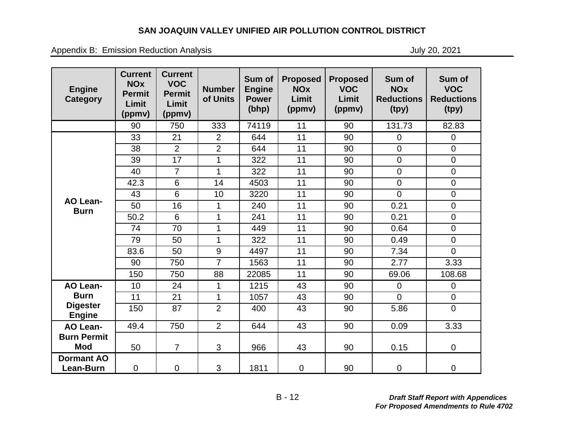Appendix B: Emission Reduction Analysis **According to the Control Control Control Control Control Control Control Control Control Control Control Control Control Control Control Control Control Control Control Control Cont** 

| <b>Engine</b><br><b>Category</b> | <b>Current</b><br><b>NOx</b><br><b>Permit</b><br>Limit<br>(ppmv) | <b>Current</b><br><b>VOC</b><br><b>Permit</b><br>Limit<br>(ppmv) | <b>Number</b><br>of Units | Sum of<br><b>Engine</b><br><b>Power</b><br>(bhp) | <b>Proposed</b><br><b>NOx</b><br>Limit<br>(ppmv) | <b>Proposed</b><br><b>VOC</b><br><b>Limit</b><br>(ppmv) | Sum of<br><b>NOx</b><br><b>Reductions</b><br>(tpy) | Sum of<br><b>VOC</b><br><b>Reductions</b><br>(tpy) |
|----------------------------------|------------------------------------------------------------------|------------------------------------------------------------------|---------------------------|--------------------------------------------------|--------------------------------------------------|---------------------------------------------------------|----------------------------------------------------|----------------------------------------------------|
|                                  | 90                                                               | 750                                                              | 333                       | 74119                                            | 11                                               | 90                                                      | 131.73                                             | 82.83                                              |
| <b>AO Lean-</b><br><b>Burn</b>   | 33                                                               | 21                                                               | $\overline{2}$            | 644                                              | 11                                               | 90                                                      | $\mathbf 0$                                        | $\mathbf 0$                                        |
|                                  | 38                                                               | $\overline{2}$                                                   | $\overline{2}$            | 644                                              | 11                                               | 90                                                      | $\mathbf 0$                                        | $\mathbf 0$                                        |
|                                  | 39                                                               | 17                                                               | 1                         | 322                                              | 11                                               | 90                                                      | $\mathbf 0$                                        | $\mathbf 0$                                        |
|                                  | 40                                                               | $\overline{7}$                                                   | 1                         | 322                                              | 11                                               | 90                                                      | $\overline{0}$                                     | $\boldsymbol{0}$                                   |
|                                  | 42.3                                                             | $6\phantom{1}$                                                   | 14                        | 4503                                             | 11                                               | 90                                                      | $\overline{0}$                                     | $\mathbf 0$                                        |
|                                  | 43                                                               | 6                                                                | 10                        | 3220                                             | 11                                               | 90                                                      | $\overline{0}$                                     | $\mathbf 0$                                        |
|                                  | 50                                                               | 16                                                               | 1                         | 240                                              | 11                                               | 90                                                      | 0.21                                               | $\boldsymbol{0}$                                   |
|                                  | 50.2                                                             | 6                                                                | 1                         | 241                                              | 11                                               | 90                                                      | 0.21                                               | $\mathbf 0$                                        |
|                                  | 74                                                               | 70                                                               | 1                         | 449                                              | 11                                               | 90                                                      | 0.64                                               | $\mathbf 0$                                        |
|                                  | 79                                                               | 50                                                               | 1                         | 322                                              | 11                                               | 90                                                      | 0.49                                               | $\mathbf 0$                                        |
|                                  | 83.6                                                             | 50                                                               | 9                         | 4497                                             | 11                                               | 90                                                      | 7.34                                               | $\overline{0}$                                     |
|                                  | 90                                                               | 750                                                              | $\overline{7}$            | 1563                                             | 11                                               | 90                                                      | 2.77                                               | 3.33                                               |
|                                  | 150                                                              | 750                                                              | 88                        | 22085                                            | 11                                               | 90                                                      | 69.06                                              | 108.68                                             |
| <b>AO Lean-</b>                  | 10                                                               | 24                                                               | 1                         | 1215                                             | 43                                               | 90                                                      | $\mathbf 0$                                        | $\mathbf 0$                                        |
| <b>Burn</b>                      | 11                                                               | 21                                                               | 1                         | 1057                                             | 43                                               | 90                                                      | $\overline{0}$                                     | $\boldsymbol{0}$                                   |
| <b>Digester</b><br><b>Engine</b> | 150                                                              | 87                                                               | $\overline{2}$            | 400                                              | 43                                               | 90                                                      | 5.86                                               | $\mathbf 0$                                        |
| <b>AO Lean-</b>                  | 49.4                                                             | 750                                                              | $\overline{2}$            | 644                                              | 43                                               | 90                                                      | 0.09                                               | 3.33                                               |
| <b>Burn Permit</b><br><b>Mod</b> | 50                                                               | $\overline{7}$                                                   | 3                         | 966                                              | 43                                               | 90                                                      | 0.15                                               | $\mathbf 0$                                        |
| <b>Dormant AO</b><br>Lean-Burn   | 0                                                                | $\mathbf 0$                                                      | 3                         | 1811                                             | $\mathbf 0$                                      | 90                                                      | $\boldsymbol{0}$                                   | $\boldsymbol{0}$                                   |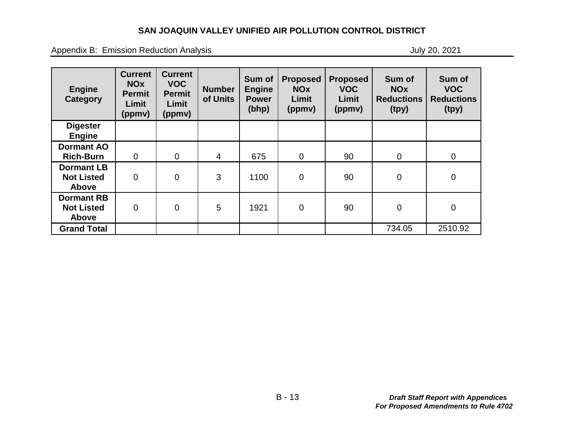Appendix B: Emission Reduction Analysis **According to the Control Control Control Control Control Control Control Control Control Control Control Control Control Control Control Control Control Control Control Control Cont** 

| <b>Engine</b><br><b>Category</b>                       | <b>Current</b><br><b>NO<sub>x</sub></b><br><b>Permit</b><br>Limit<br>(ppmv) | <b>Current</b><br><b>VOC</b><br><b>Permit</b><br>Limit<br>(ppmv) | <b>Number</b><br>of Units | Sum of<br><b>Engine</b><br><b>Power</b><br>(bhp) | <b>Proposed</b><br><b>NO<sub>x</sub></b><br>Limit<br>(ppmv) | <b>Proposed</b><br><b>VOC</b><br>Limit<br>(ppmv) | Sum of<br><b>NO<sub>x</sub></b><br><b>Reductions</b><br>(tpy) | Sum of<br><b>VOC</b><br><b>Reductions</b><br>(tpy) |
|--------------------------------------------------------|-----------------------------------------------------------------------------|------------------------------------------------------------------|---------------------------|--------------------------------------------------|-------------------------------------------------------------|--------------------------------------------------|---------------------------------------------------------------|----------------------------------------------------|
| <b>Digester</b><br><b>Engine</b>                       |                                                                             |                                                                  |                           |                                                  |                                                             |                                                  |                                                               |                                                    |
| <b>Dormant AO</b><br><b>Rich-Burn</b>                  | $\mathbf 0$                                                                 | $\overline{0}$                                                   | $\overline{4}$            | 675                                              | $\overline{0}$                                              | 90                                               | $\mathbf 0$                                                   | $\mathbf 0$                                        |
| <b>Dormant LB</b><br><b>Not Listed</b><br><b>Above</b> | $\mathbf 0$                                                                 | $\overline{0}$                                                   | 3                         | 1100                                             | $\overline{0}$                                              | 90                                               | $\mathbf 0$                                                   | $\pmb{0}$                                          |
| <b>Dormant RB</b><br><b>Not Listed</b><br><b>Above</b> | $\mathbf 0$                                                                 | $\overline{0}$                                                   | 5                         | 1921                                             | 0                                                           | 90                                               | $\mathbf 0$                                                   | $\mathbf 0$                                        |
| <b>Grand Total</b>                                     |                                                                             |                                                                  |                           |                                                  |                                                             |                                                  | 734.05                                                        | 2510.92                                            |